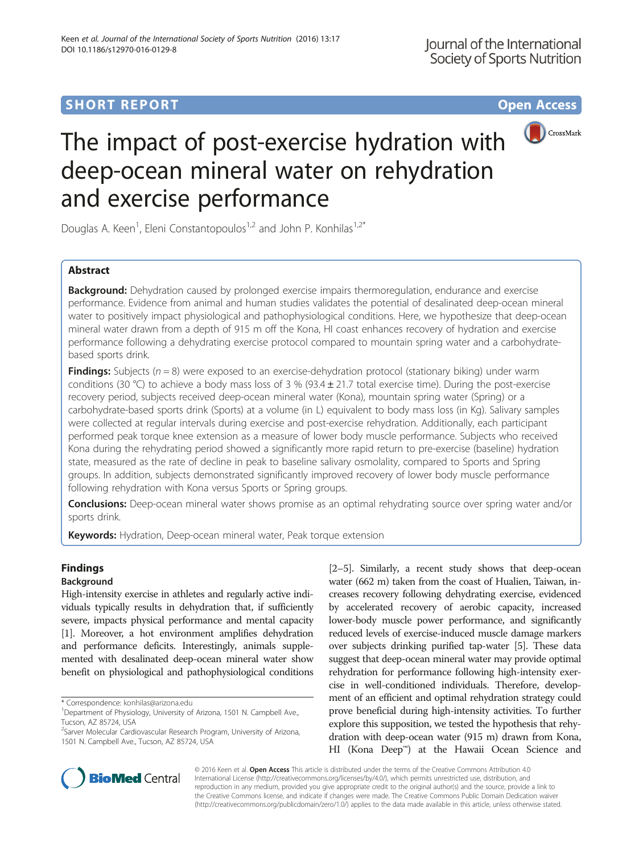# **SHORT REPORT SHORT CONSUMING THE CONSUMING THE CONSUMING THE CONSUMING THE CONSUMING THE CONSUMING THE CONSUMING THE CONSUMING THE CONSUMING THE CONSUMING THE CONSUMING THE CONSUMING THE CONSUMING THE CONSUMING THE CONS**



# The impact of post-exercise hydration with deep-ocean mineral water on rehydration and exercise performance

Douglas A. Keen<sup>1</sup>, Eleni Constantopoulos<sup>1,2</sup> and John P. Konhilas<sup>1,2\*</sup>

## Abstract

**Background:** Dehydration caused by prolonged exercise impairs thermoregulation, endurance and exercise performance. Evidence from animal and human studies validates the potential of desalinated deep-ocean mineral water to positively impact physiological and pathophysiological conditions. Here, we hypothesize that deep-ocean mineral water drawn from a depth of 915 m off the Kona, HI coast enhances recovery of hydration and exercise performance following a dehydrating exercise protocol compared to mountain spring water and a carbohydratebased sports drink.

**Findings:** Subjects  $(n = 8)$  were exposed to an exercise-dehydration protocol (stationary biking) under warm conditions (30 °C) to achieve a body mass loss of 3 % (93.4  $\pm$  21.7 total exercise time). During the post-exercise recovery period, subjects received deep-ocean mineral water (Kona), mountain spring water (Spring) or a carbohydrate-based sports drink (Sports) at a volume (in L) equivalent to body mass loss (in Kg). Salivary samples were collected at regular intervals during exercise and post-exercise rehydration. Additionally, each participant performed peak torque knee extension as a measure of lower body muscle performance. Subjects who received Kona during the rehydrating period showed a significantly more rapid return to pre-exercise (baseline) hydration state, measured as the rate of decline in peak to baseline salivary osmolality, compared to Sports and Spring groups. In addition, subjects demonstrated significantly improved recovery of lower body muscle performance following rehydration with Kona versus Sports or Spring groups.

**Conclusions:** Deep-ocean mineral water shows promise as an optimal rehydrating source over spring water and/or sports drink.

Keywords: Hydration, Deep-ocean mineral water, Peak torque extension

# Findings

### Background

High-intensity exercise in athletes and regularly active individuals typically results in dehydration that, if sufficiently severe, impacts physical performance and mental capacity [[1](#page-3-0)]. Moreover, a hot environment amplifies dehydration and performance deficits. Interestingly, animals supplemented with desalinated deep-ocean mineral water show benefit on physiological and pathophysiological conditions

\* Correspondence: [konhilas@arizona.edu](mailto:konhilas@arizona.edu) <sup>1</sup>

[[2](#page-3-0)–[5\]](#page-3-0). Similarly, a recent study shows that deep-ocean water (662 m) taken from the coast of Hualien, Taiwan, increases recovery following dehydrating exercise, evidenced by accelerated recovery of aerobic capacity, increased lower-body muscle power performance, and significantly reduced levels of exercise-induced muscle damage markers over subjects drinking purified tap-water [[5](#page-3-0)]. These data suggest that deep-ocean mineral water may provide optimal rehydration for performance following high-intensity exercise in well-conditioned individuals. Therefore, development of an efficient and optimal rehydration strategy could prove beneficial during high-intensity activities. To further explore this supposition, we tested the hypothesis that rehydration with deep-ocean water (915 m) drawn from Kona, HI (Kona Deep™) at the Hawaii Ocean Science and



© 2016 Keen et al. Open Access This article is distributed under the terms of the Creative Commons Attribution 4.0 International License [\(http://creativecommons.org/licenses/by/4.0/](http://creativecommons.org/licenses/by/4.0/)), which permits unrestricted use, distribution, and reproduction in any medium, provided you give appropriate credit to the original author(s) and the source, provide a link to the Creative Commons license, and indicate if changes were made. The Creative Commons Public Domain Dedication waiver [\(http://creativecommons.org/publicdomain/zero/1.0/](http://creativecommons.org/publicdomain/zero/1.0/)) applies to the data made available in this article, unless otherwise stated.

<sup>&</sup>lt;sup>1</sup>Department of Physiology, University of Arizona, 1501 N. Campbell Ave., Tucson, AZ 85724, USA

<sup>&</sup>lt;sup>2</sup>Sarver Molecular Cardiovascular Research Program, University of Arizona, 1501 N. Campbell Ave., Tucson, AZ 85724, USA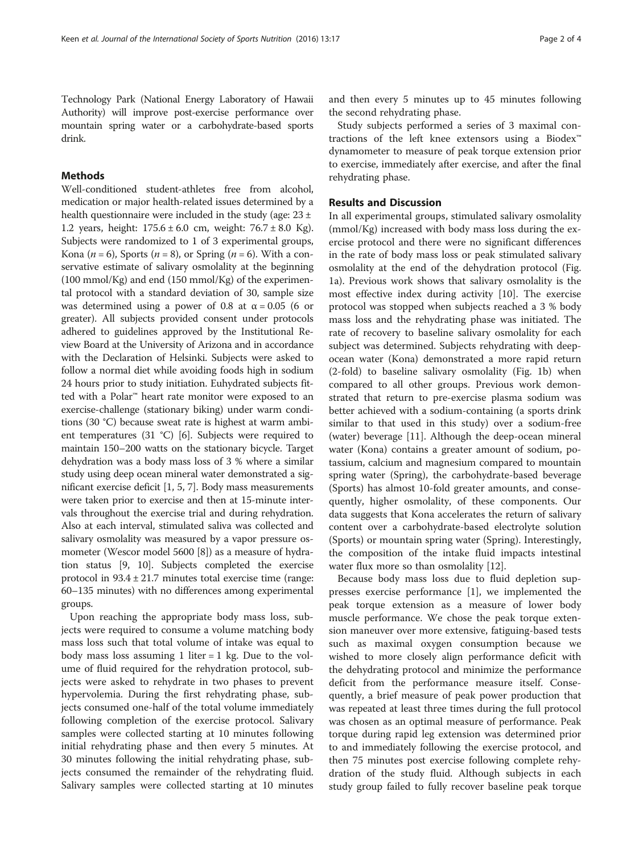Technology Park (National Energy Laboratory of Hawaii Authority) will improve post-exercise performance over mountain spring water or a carbohydrate-based sports drink.

#### Methods

Well-conditioned student-athletes free from alcohol, medication or major health-related issues determined by a health questionnaire were included in the study (age: 23 ± 1.2 years, height: 175.6 ± 6.0 cm, weight: 76.7 ± 8.0 Kg). Subjects were randomized to 1 of 3 experimental groups, Kona ( $n = 6$ ), Sports ( $n = 8$ ), or Spring ( $n = 6$ ). With a conservative estimate of salivary osmolality at the beginning  $(100 \text{ mmol/Kg})$  and end  $(150 \text{ mmol/Kg})$  of the experimental protocol with a standard deviation of 30, sample size was determined using a power of 0.8 at  $\alpha = 0.05$  (6 or greater). All subjects provided consent under protocols adhered to guidelines approved by the Institutional Review Board at the University of Arizona and in accordance with the Declaration of Helsinki. Subjects were asked to follow a normal diet while avoiding foods high in sodium 24 hours prior to study initiation. Euhydrated subjects fitted with a Polar™ heart rate monitor were exposed to an exercise-challenge (stationary biking) under warm conditions (30 °C) because sweat rate is highest at warm ambient temperatures (31 °C) [\[6](#page-3-0)]. Subjects were required to maintain 150–200 watts on the stationary bicycle. Target dehydration was a body mass loss of 3 % where a similar study using deep ocean mineral water demonstrated a significant exercise deficit [\[1](#page-3-0), [5](#page-3-0), [7\]](#page-3-0). Body mass measurements were taken prior to exercise and then at 15-minute intervals throughout the exercise trial and during rehydration. Also at each interval, stimulated saliva was collected and salivary osmolality was measured by a vapor pressure osmometer (Wescor model 5600 [\[8](#page-3-0)]) as a measure of hydration status [\[9](#page-3-0), [10](#page-3-0)]. Subjects completed the exercise protocol in 93.4 ± 21.7 minutes total exercise time (range: 60–135 minutes) with no differences among experimental groups.

Upon reaching the appropriate body mass loss, subjects were required to consume a volume matching body mass loss such that total volume of intake was equal to body mass loss assuming 1 liter  $= 1$  kg. Due to the volume of fluid required for the rehydration protocol, subjects were asked to rehydrate in two phases to prevent hypervolemia. During the first rehydrating phase, subjects consumed one-half of the total volume immediately following completion of the exercise protocol. Salivary samples were collected starting at 10 minutes following initial rehydrating phase and then every 5 minutes. At 30 minutes following the initial rehydrating phase, subjects consumed the remainder of the rehydrating fluid. Salivary samples were collected starting at 10 minutes and then every 5 minutes up to 45 minutes following the second rehydrating phase.

Study subjects performed a series of 3 maximal contractions of the left knee extensors using a Biodex™ dynamometer to measure of peak torque extension prior to exercise, immediately after exercise, and after the final rehydrating phase.

#### Results and Discussion

In all experimental groups, stimulated salivary osmolality (mmol/Kg) increased with body mass loss during the exercise protocol and there were no significant differences in the rate of body mass loss or peak stimulated salivary osmolality at the end of the dehydration protocol (Fig. [1a](#page-2-0)). Previous work shows that salivary osmolality is the most effective index during activity [[10\]](#page-3-0). The exercise protocol was stopped when subjects reached a 3 % body mass loss and the rehydrating phase was initiated. The rate of recovery to baseline salivary osmolality for each subject was determined. Subjects rehydrating with deepocean water (Kona) demonstrated a more rapid return (2-fold) to baseline salivary osmolality (Fig. [1b](#page-2-0)) when compared to all other groups. Previous work demonstrated that return to pre-exercise plasma sodium was better achieved with a sodium-containing (a sports drink similar to that used in this study) over a sodium-free (water) beverage [[11\]](#page-3-0). Although the deep-ocean mineral water (Kona) contains a greater amount of sodium, potassium, calcium and magnesium compared to mountain spring water (Spring), the carbohydrate-based beverage (Sports) has almost 10-fold greater amounts, and consequently, higher osmolality, of these components. Our data suggests that Kona accelerates the return of salivary content over a carbohydrate-based electrolyte solution (Sports) or mountain spring water (Spring). Interestingly, the composition of the intake fluid impacts intestinal water flux more so than osmolality [[12\]](#page-3-0).

Because body mass loss due to fluid depletion suppresses exercise performance [[1\]](#page-3-0), we implemented the peak torque extension as a measure of lower body muscle performance. We chose the peak torque extension maneuver over more extensive, fatiguing-based tests such as maximal oxygen consumption because we wished to more closely align performance deficit with the dehydrating protocol and minimize the performance deficit from the performance measure itself. Consequently, a brief measure of peak power production that was repeated at least three times during the full protocol was chosen as an optimal measure of performance. Peak torque during rapid leg extension was determined prior to and immediately following the exercise protocol, and then 75 minutes post exercise following complete rehydration of the study fluid. Although subjects in each study group failed to fully recover baseline peak torque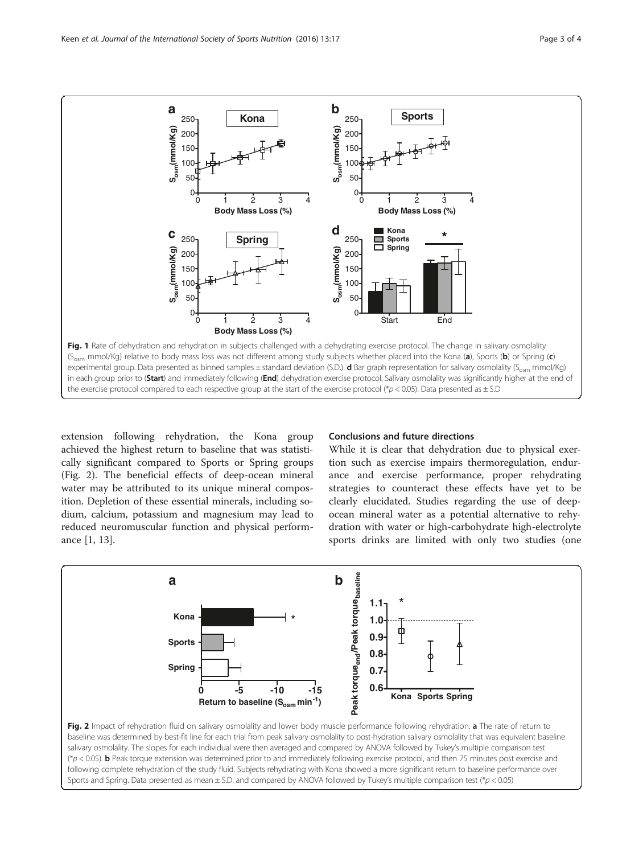<span id="page-2-0"></span>

extension following rehydration, the Kona group achieved the highest return to baseline that was statistically significant compared to Sports or Spring groups (Fig. 2). The beneficial effects of deep-ocean mineral water may be attributed to its unique mineral composition. Depletion of these essential minerals, including sodium, calcium, potassium and magnesium may lead to reduced neuromuscular function and physical performance [\[1](#page-3-0), [13](#page-3-0)].

#### Conclusions and future directions

While it is clear that dehydration due to physical exertion such as exercise impairs thermoregulation, endurance and exercise performance, proper rehydrating strategies to counteract these effects have yet to be clearly elucidated. Studies regarding the use of deepocean mineral water as a potential alternative to rehydration with water or high-carbohydrate high-electrolyte sports drinks are limited with only two studies (one



salivary osmolality. The slopes for each individual were then averaged and compared by ANOVA followed by Tukey's multiple comparison test (\*p < 0.05). b Peak torque extension was determined prior to and immediately following exercise protocol, and then 75 minutes post exercise and following complete rehydration of the study fluid. Subjects rehydrating with Kona showed a more significant return to baseline performance over Sports and Spring. Data presented as mean  $\pm$  S.D. and compared by ANOVA followed by Tukey's multiple comparison test (\*p < 0.05)